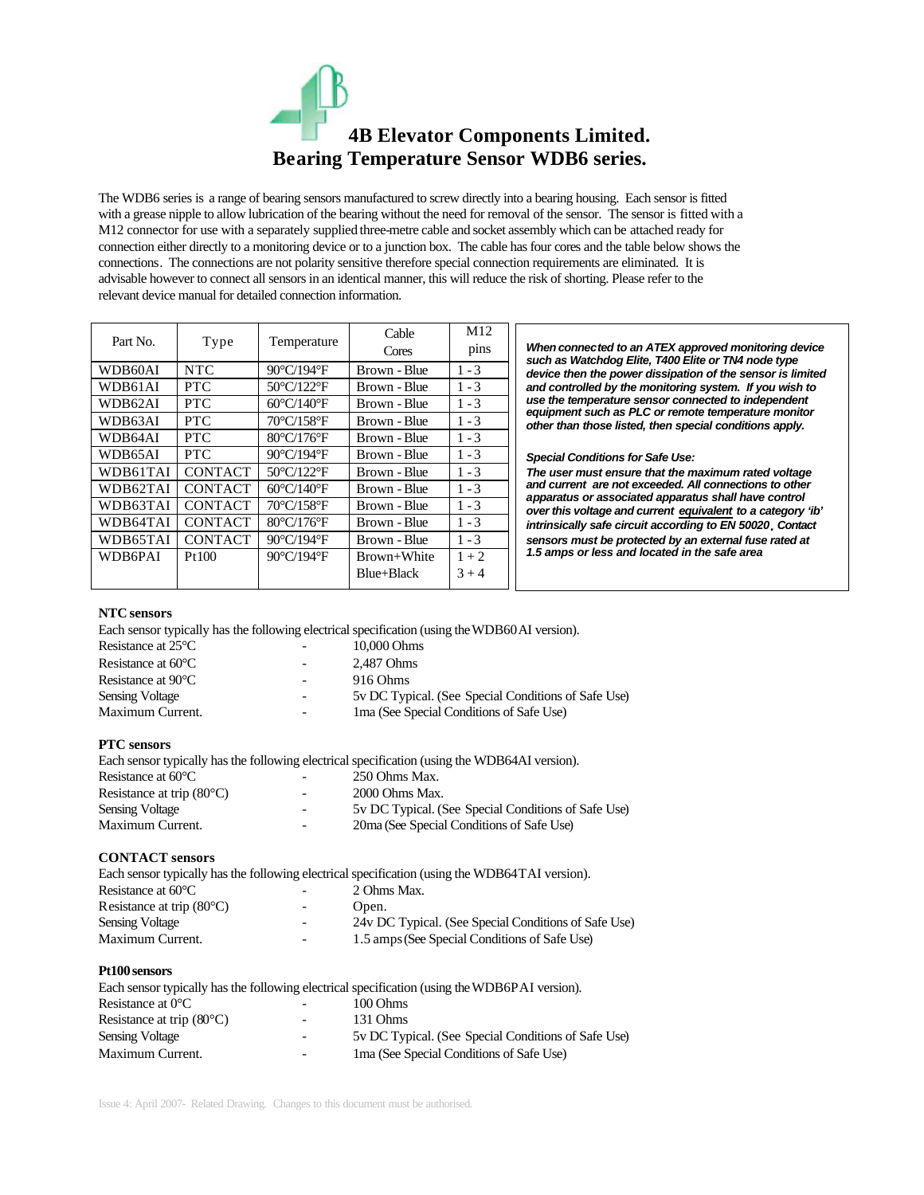# **4B Elevator Components Limited. Bearing Temperature Sensor WDB6 series.**

The WDB6 series is a range of bearing sensors manufactured to screw directly into a bearing housing. Each sensor is fitted with a grease nipple to allow lubrication of the bearing without the need for removal of the sensor. The sensor is fitted with a M12 connector for use with a separately supplied three-metre cable and socket assembly which can be attached ready for connection either directly to a monitoring device or to a junction box. The cable has four cores and the table below shows the connections. The connections are not polarity sensitive therefore special connection requirements are eliminated. It is advisable however to connect all sensors in an identical manner, this will reduce the risk of shorting. Please refer to the relevant device manual for detailed connection information.

| Part No.       | Type           | Temperature                     | Cable<br>Cores | M <sub>12</sub><br>pins |
|----------------|----------------|---------------------------------|----------------|-------------------------|
| WDB60AI        | <b>NTC</b>     | 90°C/194°F                      | Brown - Blue   | $1 - 3$                 |
| WDB61AI        | <b>PTC</b>     | 50°C/122°F                      | Brown - Blue   | $1 - 3$                 |
| WDB62AI        | <b>PTC</b>     | $60^{\circ}$ C/140 $^{\circ}$ F | Brown - Blue   | $1 - 3$                 |
| WDB63AI        | <b>PTC</b>     | 70°C/158°F                      | Brown - Blue   | $1 - 3$                 |
| WDB64AI        | <b>PTC</b>     | 80°C/176°F                      | Brown - Blue   | $1 - 3$                 |
| WDB65AI        | <b>PTC</b>     | $90^{\circ}$ C/194 $^{\circ}$ F | Brown - Blue   | $1 - 3$                 |
| WDB61TAI       | <b>CONTACT</b> | $50^{\circ}$ C/122 $^{\circ}$ F | Brown - Blue   | $1 - 3$                 |
| WDB62TAI       | <b>CONTACT</b> | $60^{\circ}$ C/140 $^{\circ}$ F | Brown - Blue   | $1 - 3$                 |
| WDB63TAI       | <b>CONTACT</b> | 70°C/158°F                      | Brown - Blue   | $1 - 3$                 |
| WDB64TAI       | <b>CONTACT</b> | 80°C/176°F                      | Brown - Blue   | $1 - 3$                 |
| WDB65TAI       | <b>CONTACT</b> | 90°C/194°F                      | Brown - Blue   | $1 - 3$                 |
| <b>WDB6PAI</b> | Pt100          | 90°C/194°F                      | Brown+White    | $1 + 2$                 |
|                |                |                                 | Blue+Black     | $3 + 4$                 |

*When connected to an ATEX approved monitoring device such as Watchdog Elite, T400 Elite or TN4 node type device then the power dissipation of the sensor is limited and controlled by the monitoring system. If you wish to use the temperature sensor connected to independent equipment such as PLC or remote temperature monitor other than those listed, then special conditions apply.*

#### *Special Conditions for Safe Use:*

*The user must ensure that the maximum rated voltage and current are not exceeded. All connections to other apparatus or associated apparatus shall have control over this voltage and current equivalent to a category 'ib' intrinsically safe circuit according to EN 50020. Contact sensors must be protected by an external fuse rated at 1.5 amps or less and located in the safe area*

### **NTC sensors**

Each sensor typically has the following electrical specification (using the WDB60AI version).

| Resistance at $25^{\circ}$ C | $\overline{\phantom{0}}$ | 10,000 Ohms                                          |
|------------------------------|--------------------------|------------------------------------------------------|
| Resistance at $60^{\circ}$ C | -                        | 2.487 Ohms                                           |
| Resistance at $90^{\circ}$ C | $\overline{\phantom{0}}$ | 916 Ohms                                             |
| <b>Sensing Voltage</b>       | $\overline{\phantom{0}}$ | 5 V DC Typical. (See Special Conditions of Safe Use) |
| Maximum Current.             | $\overline{\phantom{a}}$ | 1 ma (See Special Conditions of Safe Use)            |
|                              |                          |                                                      |

### **PTC sensors**

Each sensor typically has the following electrical specification (using the WDB64AI version). Resistance at 60°C - 250 Ohms Max. Resistance at trip (80°C)  $\qquad \qquad - \qquad \qquad$  2000 Ohms Max. Sensing Voltage  $-$  5v DC Typical. (See Special Conditions of Safe Use) Maximum Current. 20ma (See Special Conditions of Safe Use)

#### **CONTACT sensors**

| Each sensor typically has the following electrical specification (using the WDB64TAI version). |                          |                                                      |  |  |
|------------------------------------------------------------------------------------------------|--------------------------|------------------------------------------------------|--|--|
| Resistance at $60^{\circ}$ C                                                                   |                          | 2 Ohms Max.                                          |  |  |
| Resistance at trip $(80^{\circ}C)$                                                             | $-$                      | Open.                                                |  |  |
| <b>Sensing Voltage</b>                                                                         | $\overline{\phantom{0}}$ | 24y DC Typical. (See Special Conditions of Safe Use) |  |  |
| Maximum Current.                                                                               |                          | 1.5 amps (See Special Conditions of Safe Use)        |  |  |

### **Pt100 sensors**

|                                    |                              | Each sensor typically has the following electrical specification (using the WDB6PAI version). |
|------------------------------------|------------------------------|-----------------------------------------------------------------------------------------------|
| Resistance at $0^{\circ}$ C        |                              | 100 Ohms                                                                                      |
| Resistance at trip $(80^{\circ}C)$ | $\overline{\phantom{0}}$     | 131 Ohms                                                                                      |
| Sensing Voltage                    | $\overline{\phantom{a}}$     | 5 v DC Typical. (See Special Conditions of Safe Use)                                          |
| Maximum Current.                   | $\qquad \qquad \blacksquare$ | 1 ma (See Special Conditions of Safe Use)                                                     |